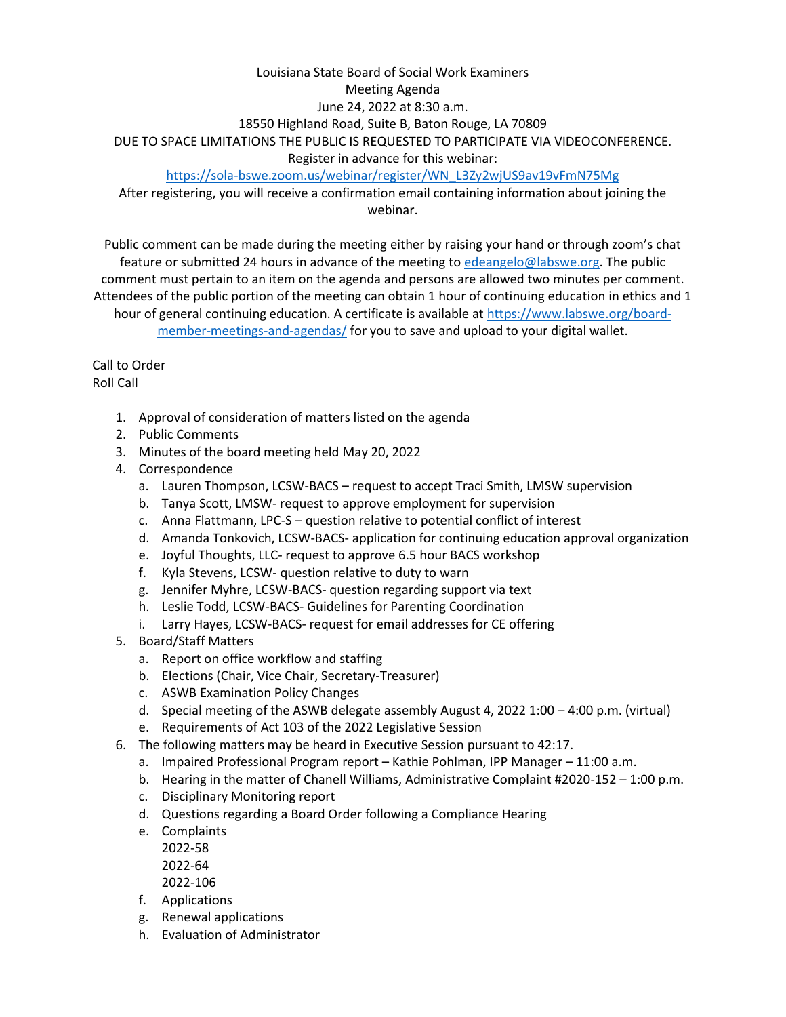## Louisiana State Board of Social Work Examiners Meeting Agenda June 24, 2022 at 8:30 a.m. 18550 Highland Road, Suite B, Baton Rouge, LA 70809 DUE TO SPACE LIMITATIONS THE PUBLIC IS REQUESTED TO PARTICIPATE VIA VIDEOCONFERENCE. Register in advance for this webinar:

[https://sola-bswe.zoom.us/webinar/register/WN\\_L3Zy2wjUS9av19vFmN75Mg](https://sola-bswe.zoom.us/webinar/register/WN_L3Zy2wjUS9av19vFmN75Mg)

After registering, you will receive a confirmation email containing information about joining the webinar.

Public comment can be made during the meeting either by raising your hand or through zoom's chat feature or submitted 24 hours in advance of the meeting t[o edeangelo@labswe.org.](mailto:edeangelo@labswe.org) The public comment must pertain to an item on the agenda and persons are allowed two minutes per comment. Attendees of the public portion of the meeting can obtain 1 hour of continuing education in ethics and 1 hour of general continuing education. A certificate is available at [https://www.labswe.org/board-](https://www.labswe.org/board-member-meetings-and-agendas/)

[member-meetings-and-agendas/](https://www.labswe.org/board-member-meetings-and-agendas/) for you to save and upload to your digital wallet.

## Call to Order Roll Call

- 1. Approval of consideration of matters listed on the agenda
- 2. Public Comments
- 3. Minutes of the board meeting held May 20, 2022
- 4. Correspondence
	- a. Lauren Thompson, LCSW-BACS request to accept Traci Smith, LMSW supervision
	- b. Tanya Scott, LMSW- request to approve employment for supervision
	- c. Anna Flattmann, LPC-S question relative to potential conflict of interest
	- d. Amanda Tonkovich, LCSW-BACS- application for continuing education approval organization
	- e. Joyful Thoughts, LLC- request to approve 6.5 hour BACS workshop
	- f. Kyla Stevens, LCSW- question relative to duty to warn
	- g. Jennifer Myhre, LCSW-BACS- question regarding support via text
	- h. Leslie Todd, LCSW-BACS- Guidelines for Parenting Coordination
	- i. Larry Hayes, LCSW-BACS- request for email addresses for CE offering
- 5. Board/Staff Matters
	- a. Report on office workflow and staffing
	- b. Elections (Chair, Vice Chair, Secretary-Treasurer)
	- c. ASWB Examination Policy Changes
	- d. Special meeting of the ASWB delegate assembly August 4, 2022 1:00 4:00 p.m. (virtual)
	- e. Requirements of Act 103 of the 2022 Legislative Session
- 6. The following matters may be heard in Executive Session pursuant to 42:17.
	- a. Impaired Professional Program report Kathie Pohlman, IPP Manager 11:00 a.m.
	- b. Hearing in the matter of Chanell Williams, Administrative Complaint #2020-152 1:00 p.m.
	- c. Disciplinary Monitoring report
	- d. Questions regarding a Board Order following a Compliance Hearing
	- e. Complaints
		- 2022-58 2022-64

2022-106

- f. Applications
- g. Renewal applications
- h. Evaluation of Administrator